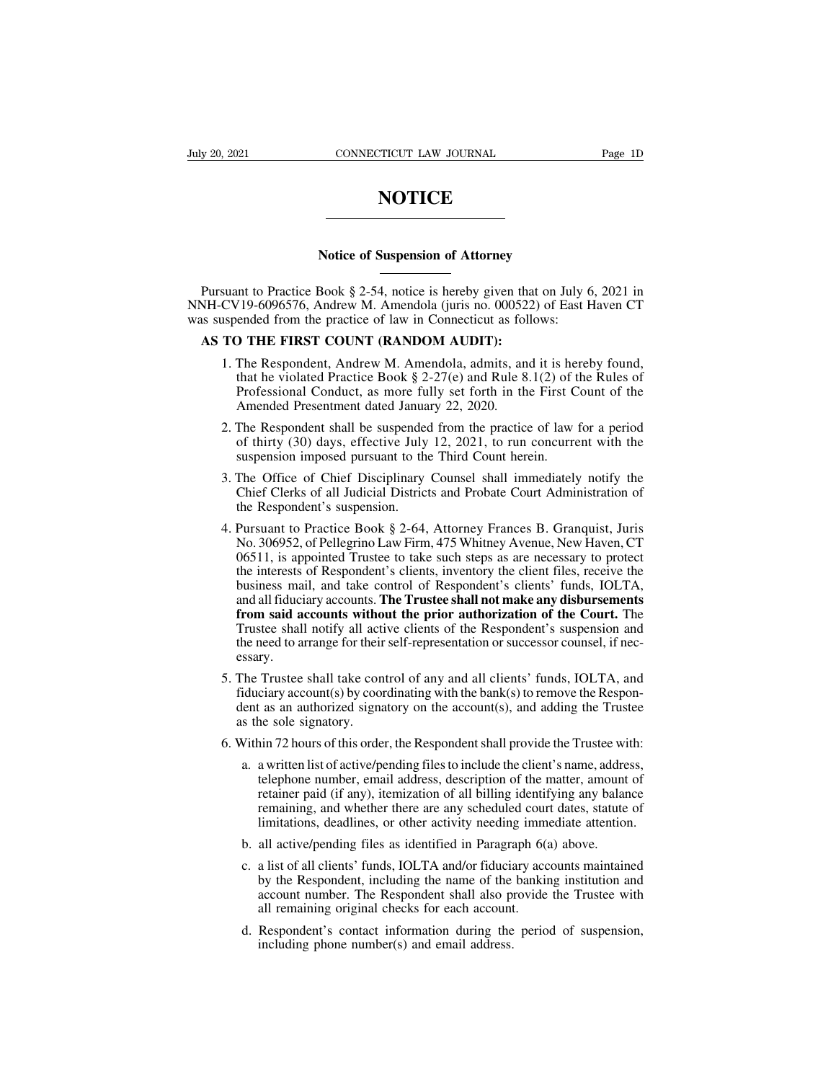# **NOTICE**

# **NOTICE**<br>
NOTICE<br>
Notice of Suspension of Attorney<br>
Pook 8.2.54, potice is bereby given that on Jul

**NOTICE**<br>
Notice of Suspension of Attorney<br>
Pursuant to Practice Book § 2-54, notice is hereby given that on July 6, 2021 in<br>
NH-CV19-6096576, Andrew M. Amendola (juris no. 000522) of East Haven CT<br>
is suspended from the p Notice of Suspension of Attorney<br>
Nursuant to Practice Book § 2-54, notice is hereby given that on July 6, 2021 in<br>
NNH-CV19-6096576, Andrew M. Amendola (juris no. 000522) of East Haven CT<br>
was suspended from the practice Notice of Suspension of Attorney<br>Pursuant to Practice Book § 2-54, notice is hereby given that on July 6<br>NNH-CV19-6096576, Andrew M. Amendola (juris no. 000522) of East F<br>was suspended from the practice of law in Connectic **AS TO THE FIRST COUNT (RANDOM AUDIT):**<br>
AS TO THE FIRST COUNT (RANDOM AUDIT):<br>
AS TO THE FIRST COUNT (RANDOM AUDIT):<br>
1. The Respondent, Andrew M. Amendola, admits, and in that ha violated Prostice Book \$ 2.27(c) and Bule

- Suant to Practice Book § 2-54, notice is hereby given that on July 6, 2021 in<br>CV19-6096576, Andrew M. Amendola (juris no. 000522) of East Haven CT<br>spended from the practice of law in Connecticut as follows:<br>**TO THE FIRST C** nnt to Practice Book § 2-54, notice is hereby given that on July 6, 2021 in <br>
719-6096576, Andrew M. Amendola (juris no. 000522) of East Haven CT<br>
ended from the practice of law in Connecticut as follows:<br> **D THE FIRST COU** The Bespondent shall be suspended from the practice of law for a period.<br>The Bespondent, Andrew M. Amendola (juris no. 000522) of East Haven CT<br>ended from the practice of law in Connecticut as follows:<br>**D THE FIRST COUNT** THE FIRST COUNT (RANDOM AUDIT):<br>
The Respondent, Andrew M. Amendola, admits, and<br>
that he violated Practice Book § 2-27(e) and Rule 8<br>
Professional Conduct, as more fully set forth in th<br>
Amended Presentment dated January **TO THE FIRST COUNT (RANDOM AUDIT):**<br>1. The Respondent, Andrew M. Amendola, admits, and it is hereby found, that he violated Practice Book § 2-27(e) and Rule 8.1(2) of the Rules of Professional Conduct, as more fully set The Respondent, Andrew M. Amendola, admits, and it is hereby found, that he violated Practice Book § 2-27(e) and Rule 8.1(2) of the Rules of Professional Conduct, as more fully set forth in the First Count of the Amended The Respondent, Andrew M. Amendola, admits, and it is he<br>that he violated Practice Book § 2-27(e) and Rule 8.1(2) of t<br>Professional Conduct, as more fully set forth in the First C<br>Amended Presentment dated January 22, 2020
- 2. The Respondent shall be suspended from the principle of the Amended Presentment dated January 22, 2020.<br>
2. The Respondent shall be suspended from the practice of law for a period of thirty (30) days, effective July 12 Frotessional Conduct, as more rangi set form in the First Count of the<br>Amended Presentment dated January 22, 2020.<br>The Respondent shall be suspended from the practice of law for a period<br>of thirty (30) days, effective July The Respondent shall be suspended<br>of thirty (30) days, effective July<br>suspension imposed pursuant to the<br>The Office of Chief Disciplinary<br>Chief Clerks of all Judicial District<br>the Respondent's suspension.<br>Pursuant to Pract
- 
- 2. The Respondent shall be suspended from the plactice of law for a period of thirty (30) days, effective July 12, 2021, to run concurrent with the suspension imposed pursuant to the Third Count herein.<br>3. The Office of C or unity (30) days, effective 3dry 12, 2021, to fun concurrent with the<br>suspension imposed pursuant to the Third Count herein.<br>The Office of Chief Disciplinary Counsel shall immediately notify the<br>Chief Clerks of all Judic Suspension imposed pursuant to the Tima Count herem.<br>The Office of Chief Disciplinary Counsel shall immediately notify the<br>Chief Clerks of all Judicial Districts and Probate Court Administration of<br>the Respondent's suspens The Office of Chief Disciplinary Counsel shall immediately notify the<br>Chief Clerks of all Judicial Districts and Probate Court Administration of<br>the Respondent's suspension.<br>Pursuant to Practice Book § 2-64, Attorney Franc Chief Clerks of all Judicial Districts and Probate Court Administration of<br>the Respondent's suspension.<br>Pursuant to Practice Book § 2-64, Attorney Frances B. Granquist, Juris<br>No. 306952, of Pellegrino Law Firm, 475 Whitney the Respondent's suspension.<br>Pursuant to Practice Book § 2-64, Attorney Frances B. Granquist, Juris<br>No. 306952, of Pellegrino Law Firm, 475 Whitney Avenue, New Haven, CT<br>06511, is appointed Trustee to take such steps as ar Pursuant to Practice Book § 2-64, Attorney Frances B. Granquist, Juris No. 306952, of Pellegrino Law Firm, 475 Whitney Avenue, New Haven, CT 06511, is appointed Trustee to take such steps as are necessary to protect the in Trustant to Tractice Book y 2-o+, Attorney Frances B. Grandust, Juris No. 306952, of Pellegrino Law Firm, 475 Whitney Avenue, New Haven, CT 06511, is appointed Trustee to take such steps as are necessary to protect the int The Trustee shall take control of any and all clients' funds. JOLTA, The Trustee shall take control of Respondent's clients, inventory the client files, receive the business mail, and take control of Respondent's clients' essary. business mail, and take control of Respondent's clients' funds, IOLTA, and all fiduciary accounts. **The Trustee shall not make any disbursements** from said accounts without the prior authorization of the Court. The Trustee and all fiduciary accounts. **The Trustee shall not make any disbursements** from said accounts without the prior authorization of the Court. The Trustee shall notify all active clients of the Respondent's suspension and the from said accounts without the prior authorization of the Court. The<br>Trustee shall notify all active clients of the Respondent's suspension and<br>the need to arrange for their self-representation or successor counsel, if nec
- Trustee shall notify all act<br>the need to arrange for their<br>essary.<br>The Trustee shall take con<br>fiduciary account(s) by coor<br>dent as an authorized signa<br>as the sole signatory.<br>Within 72 hours of this orde 6. Within 72 hours of this order, the Respondent shall provide the Clients.<br>
16. Within 72 hours of this order, the Respondent shall provide the Trustee<br>
26. Within 72 hours of this order, the Respondent shall provide the The Trustee shall take control of any and all clients' funds, IOLTA, and<br>iduciary account(s) by coordinating with the bank(s) to remove the Respon-<br>ent as an authorized signatory on the account(s), and adding the Trustee<br>s
- 
- Trustee shart date control of any and all chemis Tanks, TOLTA, and<br>ciary account(s) by coordinating with the bank(s) to remove the Respon-<br>t as an authorized signatory on the account(s), and adding the Trustee<br>ne sole sign retainer and address, to fund and any account of any account of any account of any and adding the Trustee in sole signatory.<br>
in 72 hours of this order, the Respondent shall provide the Trustee with:<br>
a written list of act remaining, and additional and additional and additional and additional and additional and written list of active/pending files to include the client's name, address, telephone number, email address, description of the matt limitations, or other, the Respondent shall provide the Trustee with:<br>a written list of active/pending files to include the client's name, address,<br>telephone number, email address, description of the matter, amount of<br>reta a. a written list of active/pending files to include the client's name, addre<br>telephone number, email address, description of the matter, amount<br>retainer paid (if any), itemization of all billing identifying any balar<br>rema a. a whiten is of active/pending files to include the either shaine, address, telephone number, email address, description of the matter, amount of retainer paid (if any), itemization of all billing identifying any balance
	-
	- by the Respondent, including the name of the matter, and an experiment paid (if any), itemization of all billing identifying any balance remaining, and whether there are any scheduled court dates, statute of limitations, d remaining, and whether there are any scheduled court dates, statute of limitations, deadlines, or other activity needing immediate attention.<br>all active/pending files as identified in Paragraph 6(a) above.<br>a list of all cl Finitations, deadlines, or other activity needing immall active/pending files as identified in Paragraph 6(a a list of all clients' funds, IOLTA and/or fiduciary account number. The Respondent shall also provide all remain b. all active/pending files as identified in Paragraph 6(a) above.<br>c. a list of all clients' funds, IOLTA and/or fiduciary accounts maintained<br>by the Respondent, including the name of the banking institution and<br>account nu al ist of all clients' funds, IOLTA and/or fiducial<br>by the Respondent, including the name of the<br>account number. The Respondent shall also pi<br>all remaining original checks for each account<br>Respondent's contact information
	-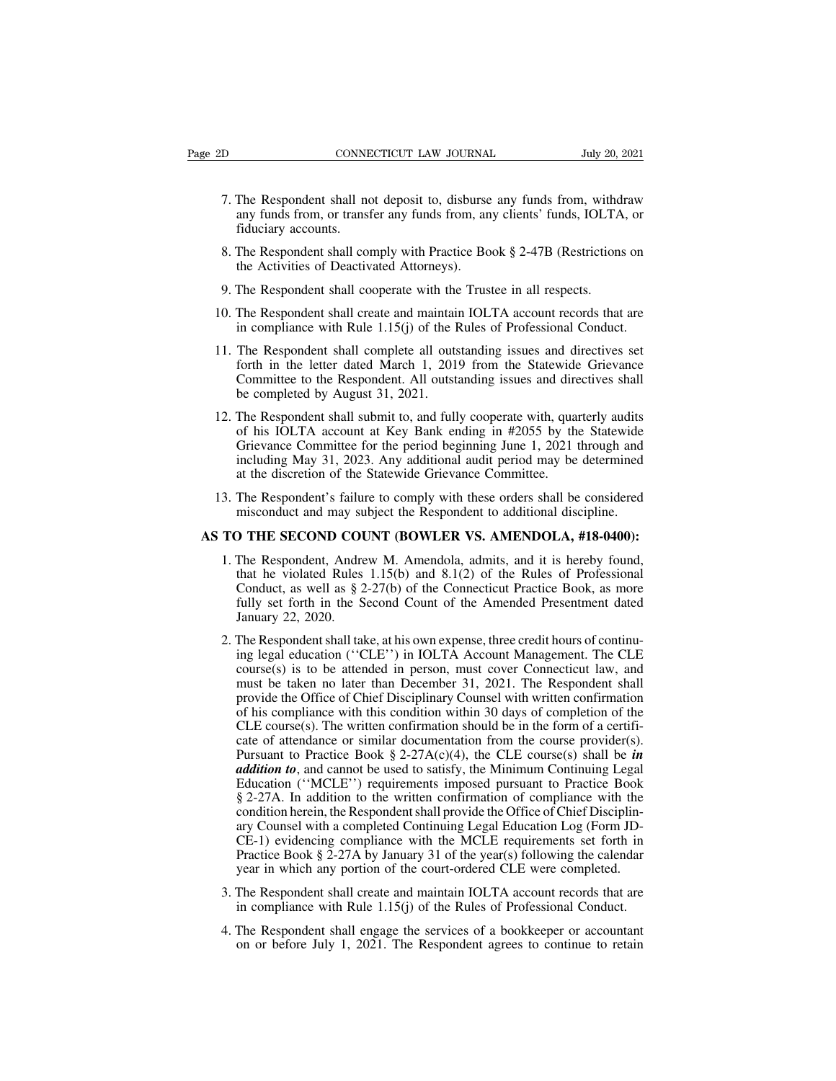- The Respondent shall not deposit to, disburse any funds from, withdraw any funds from, or transfer any funds from, any clients' funds, IOLTA, or fiduciary accounts. CONNECTICUT LAW JOURNAL July 20, 2021<br>
The Respondent shall not deposit to, disburse any funds from, withdraw<br>
any funds from, or transfer any funds from, any clients' funds, IOLTA, or<br>
The Respondent shall comply with Pre CONNE<br>The Respondent shall no<br>any funds from, or transfiduciary accounts.<br>The Respondent shall co 8. The Respondent shall not deposit to, disburse any funds from, withdraw<br>8. The Respondent shall not deposit to, disburse any funds from, withdraw<br>8. The Respondent shall comply with Practice Book § 2-47B (Restrictions on The Respondent shall not deposit to, disburse<br>any funds from, or transfer any funds from, an<br>fiduciary accounts.<br>The Respondent shall comply with Practice Bo<br>the Activities of Deactivated Attorneys).<br>The Respondent shall c 9. The Respondent shall not deposit to, disburse any funds from, with<br>any funds from, or transfer any funds from, any clients' funds, IOLTA<br>fiduciary accounts.<br>8. The Respondent shall comply with Practice Book § 2-47B (Re
- 10. The Respondent shall complete all outstanding issues and directives and maintain IOLTA account records that are<br>
10. The Respondent shall cooperate with the Trustee in all respects.<br>
10. The Respondent shall create and inductary accounts.<br>
The Respondent shall comply with Practice Book § 2-47B (Restrictions on<br>
the Activities of Deactivated Attorneys).<br>
The Respondent shall create and maintain IOLTA account records that are<br>
in complianc
- 
- 
- 11. The Respondent shall complete all outstanding issues and directives shall<br>11. The Respondent shall cooperate with the Trustee in all respects.<br>10. The Respondent shall create and maintain IOLTA account records that ar The Respondent shall cooperate with the Trustee in all respects.<br>The Respondent shall create and maintain IOLTA account records that are<br>in compliance with Rule 1.15(j) of the Rules of Professional Conduct.<br>The Respondent The Respondent shall cooperate with the Trustee in all respects.<br>The Respondent shall create and maintain IOLTA account records that are<br>in compliance with Rule 1.15(j) of the Rules of Professional Conduct.<br>The Respondent The Respondent shall create and maintain<br>in compliance with Rule 1.15(j) of the I<br>The Respondent shall complete all outs<br>forth in the letter dated March 1, 201<br>Committee to the Respondent. All outst<br>be completed by August in compliance with Rule 1.15(j) of the Rules of Professional Conduct.<br>
11. The Respondent shall complete all outstanding issues and directives set<br>
forth in the letter dated March 1, 2019 from the Statewide Grievance<br>
Com
- The Respondent shall complete all outstanding issues and directives set<br>forth in the letter dated March 1, 2019 from the Statewide Grievance<br>Committee to the Respondent. All outstanding issues and directives shall<br>be compl The Respondent shall complete all outstanding issues and directives set<br>forth in the letter dated March 1, 2019 from the Statewide Grievance<br>Committee to the Respondent. All outstanding issues and directives shall<br>be compl forth in the letter dated March 1, 2019 from the Statewide Grievance<br>Committee to the Respondent. All outstanding issues and directives shall<br>be completed by August 31, 2021.<br>The Respondent shall submit to, and fully coope Committee to the Respondent. All outstanding issues and dire<br>be completed by August 31, 2021.<br>The Respondent shall submit to, and fully cooperate with, quase<br>of his IOLTA account at Key Bank ending in #2055 by the<br>Grievanc 12. The Respondent shall submit to, and fully cooperate with, quarterly audits<br>of his IOLTA account at Key Bank ending in #2055 by the Statewide<br>Grievance Committee for the period beginning June 1, 2021 through and<br>includ The Respondent shall submit to, and fully cooperate with, quarterly audits<br>of his IOLTA account at Key Bank ending in #2055 by the Statewide<br>Grievance Committee for the period beginning June 1, 2021 through and<br>including M Grievance Committee for the period beginning June 1, 2021 through and<br>including May 31, 2023. Any additional audit period may be determined<br>at the discretion of the Statewide Grievance Committee.<br>13. The Respondent's failu
	-

- 1. The Respondent is failure to comply with these orders shall be considered misconduct and may subject the Respondent to additional discipline.<br> **1. The Respondent, Andrew M. Amendola, admits, and it is hereby found,** th The Respondent's failure to comply with these orders shall be considered misconduct and may subject the Respondent to additional discipline.<br> **D THE SECOND COUNT (BOWLER VS. AMENDOLA, #18-0400):**<br>
The Respondent, Andrew M The Respondent's failure to comply with these orders shall be considered misconduct and may subject the Respondent to additional discipline.<br> **D THE SECOND COUNT (BOWLER VS. AMENDOLA, #18-0400):**<br>
The Respondent, Andrew M. misconduct and may subject the Respondent to additional discipline.<br> **D THE SECOND COUNT (BOWLER VS. AMENDOLA, #18-0400):**<br>
The Respondent, Andrew M. Amendola, admits, and it is hereby found,<br>
that he violated Rules 1.15(b THE SECOND COUT<br>The Respondent, Andre<br>that he violated Rules<br>Conduct, as well as § 2<br>fully set forth in the S<br>January 22, 2020.<br>The Respondent shall tal 2. The Respondent, Andrew M. Amendola, admits, and it is hereby found, that he violated Rules 1.15(b) and 8.1(2) of the Rules of Professional Conduct, as well as § 2-27(b) of the Connecticut Practice Book, as more fully s The Respondent, Andrew M. Amendola, admits, and it is hereby found,<br>that he violated Rules 1.15(b) and 8.1(2) of the Rules of Professional<br>Conduct, as well as § 2-27(b) of the Connecticut Practice Book, as more<br>fully set f
- that he violated Rules 1.15(b) and 8.1(2) of the Rules of Professional<br>Conduct, as well as § 2-27(b) of the Connecticut Practice Book, as more<br>fully set forth in the Second Count of the Amended Presentment dated<br>January 2 Conduct, as well as § 2-27(b) of the Connecticut Practice Book, as more fully set forth in the Second Count of the Amended Presentment dated January 22, 2020.<br>The Respondent shall take, at his own expense, three credit ho fully set forth in the Second Count of the Amended Presentment dated<br>January 22, 2020.<br>The Respondent shall take, at his own expense, three credit hours of continu-<br>ing legal education ("CLE") in IOLTA Account Management. January 22, 2020.<br>The Respondent shall take, at his own expense, three credit hours of continu-<br>ing legal education ("CLE") in IOLTA Account Management. The CLE<br>course(s) is to be attended in person, must cover Connecticut The Respondent shall take, at his own expense, three credit hours of continuing legal education ("CLE") in IOLTA Account Management. The CLE course(s) is to be attended in person, must cover Connecticut law, and must be t The Respondent shall take, at its own expense, three credit hours of columning legal education ("CLE") in IOLTA Account Management. The CLE course(s) is to be attended in person, must cover Connecticut law, and must be ta mg regal culcation (CEE) in foleral account management. The CEE<br>course(s) is to be attended in person, must cover Connecticut law, and<br>must be taken no later than December 31, 2021. The Respondent shall<br>provide the Office course(s) is to be attended in person, must cover Connecticut law, and<br>must be taken no later than December 31, 2021. The Respondent shall<br>provide the Office of Chief Disciplinary Counsel with written confirmation<br>of his c must be taken no fater than December 31, 2021. The Responsibility<br>provide the Office of Chief Disciplinary Counsel with written confirmation<br>of his compliance with this condition within 30 days of completion of the<br>CLE co provide the Orice of Chief Disciplinary Counser with written commination<br>of his compliance with this condition within 30 days of completion of the<br>CLE course(s). The written confirmation should be in the form of a certifi or ins comphance with this condition whilm 30 days of completion of the CLE course(s). The written confirmation from the course provider(s). Pursuant to Practice Book § 2-27A(c)(4), the CLE course(s) shall be *in* **additi** called Continuity and the WILE counsels of attendance or similar documentation from the course provider(s).<br>Pursuant to Practice Book § 2-27A(c)(4), the CLE course(s) shall be *in* addition to, and cannot be used to satis calc of attendance of similar documentation from the course providents).<br>Pursuant to Practice Book § 2-27A(c)(4), the CLE course(s) shall be *in*<br>addition to, and cannot be used to satisfy, the Minimum Continuing Legal<br>Ed Fusual to Fractice Book § 2-27A( $C/(+r)$ , the CEE course(s) shall be *addition to*, and cannot be used to satisfy, the Minimum Continuing Legal Education ("MCLE") requirements imposed pursuant to Practice Book § 2-27A. In datation to, and callibrate is satisfy, the Millminin Community Equation ("MCLE") requirements imposed pursuant to Practice Book § 2-27A. In addition to the written confirmation of compliance with the condition herein, th  $\S$  2-27A. In addition to the written confirmation of compliance with the<br>condition herein, the Respondent shall provide the Office of Chief Disciplin-<br>ary Counsel with a completed Continuing Legal Education Log (Form JDcondition herein, the Respondent shall provide the Office of Chief Disciplinary Counsel with a completed Continuing Legal Education Log (Form JDCE-1) evidencing compliance with the MCLE requirements set forth in Practice B  $CE-1$ ) evidencing compliance with the MCLE requirements set forth in Practice Book § 2-27A by January 31 of the year(s) following the calendar year in which any portion of the court-ordered CLE were completed.<br>3. The Resp Practice Book § 2-27A by January 31 of the year(s) following the calendar year in which any portion of the court-ordered CLE were completed.<br>The Respondent shall create and maintain IOLTA account records that are in compl
- 
-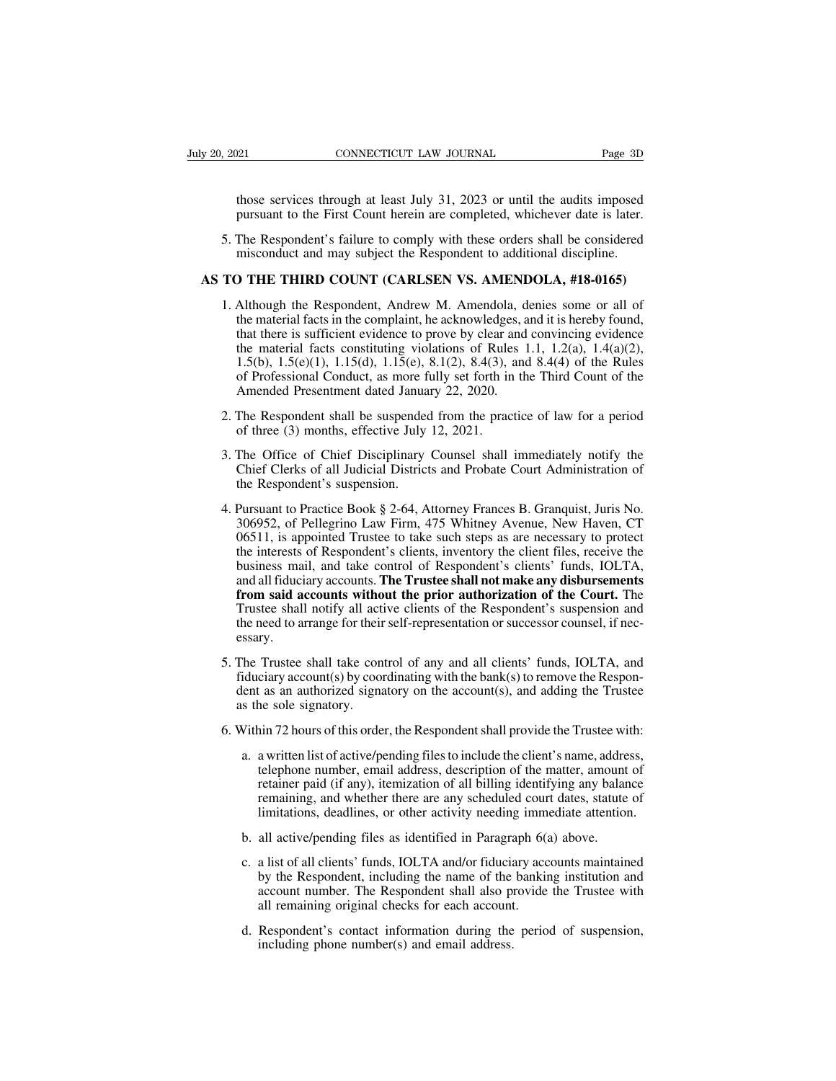The CONNECTICUT LAW JOURNAL Page 3D<br>those services through at least July 31, 2023 or until the audits imposed<br>pursuant to the First Count herein are completed, whichever date is later. pursuant to the First Counter and Huly 31, 2023 or until the audits imposed<br>pursuant to the First Count herein are completed, whichever date is later.<br>The Respondent's failure to comply with these orders shall be considere

5. The Respondent's failure to comply with these orders shall be considered<br>
5. The Respondent's failure to comply with these orders shall be considered<br>
5. The Respondent's failure to comply with these orders shall be con misconduct and may subject the Respondent of the Respondent's failure to comply with these orders shall be considered misconduct and may subject the Respondent to additional discipline.<br>The Respondent's failure to comply w those services through at least July 31, 2023 or until the audits imposed<br>pursuant to the First Count herein are completed, whichever date is later.<br>5. The Respondent's failure to comply with these orders shall be consider

- pursuant to the First Count herein are completed, whichever date is later.<br>5. The Respondent's failure to comply with these orders shall be considered<br>misconduct and may subject the Respondent to additional discipline.<br>**TO** The Respondent's failure to comply with these orders shall be considered misconduct and may subject the Respondent to additional discipline.<br> **COUNT (CARLSEN VS. AMENDOLA, #18-0165)**<br>
Although the Respondent, Andrew M. Am The Respondent's failure to comply with these orders shall be considered misconduct and may subject the Respondent to additional discipline.<br> **D THE THIRD COUNT (CARLSEN VS. AMENDOLA, #18-0165)**<br>
Although the Respondent, misconduct and may subject the Respondent to additional discipline.<br> **D THE THIRD COUNT (CARLSEN VS. AMENDOLA, #18-0165)**<br>
Although the Respondent, Andrew M. Amendola, denies some or all of<br>
the material facts in the comp **1.5(b)** THE THIRD COUNT (CARLSEN VS. AMENDOLA, #18-0165)<br>Although the Respondent, Andrew M. Amendola, denies some or all of<br>the material facts in the complaint, he acknowledges, and it is hereby found,<br>that there is suffi **OFTHE THIRD COUNT (CARLSEN VS. AMENDOLA, #18-0165)**<br>Although the Respondent, Andrew M. Amendola, denies some or all of<br>the material facts in the complaint, he acknowledges, and it is hereby found,<br>that there is sufficien Although the Respondent, Andrew M. Amendola, d<br>the material facts in the complaint, he acknowledges, a<br>that there is sufficient evidence to prove by clear and<br>the material facts constituting violations of Rules 1<br>1.5(b), the material facts in the complaint, he acknowledges, and it is hereby found,<br>that there is sufficient evidence to prove by clear and convincing evidence<br>the material facts constituting violations of Rules 1.1, 1.2(a), 1. that there is sufficient evidence to prove by clear a<br>the material facts constituting violations of Rule<br>1.5(b), 1.5(e)(1), 1.15(d), 1.15(e), 8.1(2), 8.4(3), a<br>of Professional Conduct, as more fully set forth in<br>Amended P 1.5(b), 1.5(e)(1), 1.15(d), 1.15(e), 8.1(2), 8.4(3), and 8.4(4) of the Rules<br>of Professional Conduct, as more fully set forth in the Third Count of the<br>Amended Presentment dated January 22, 2020.<br>2. The Respondent shall b
- 
- of Professional Conduct, as more fully set forth in the Third Count of the<br>Amended Presentment dated January 22, 2020.<br>The Respondent shall be suspended from the practice of law for a period<br>of three (3) months, effective Amended Presentment dated Janua<br>The Respondent shall be suspended<br>of three (3) months, effective July<br>The Office of Chief Disciplinary<br>Chief Clerks of all Judicial District<br>the Respondent's suspension.<br>Pursuant to Practice
- 1. The Respondent shall be suspended from the practice of law for a period<br>
1. The Office of Chief Disciplinary Counsel shall immediately notify the<br>
1. The Office of Chief Disciplinary Counsel shall immediately notify the of three (3) months, effective July 12, 2021.<br>
The Office of Chief Disciplinary Counsel shall immediately notify the<br>
Chief Clerks of all Judicial Districts and Probate Court Administration of<br>
the Respondent's suspension. The Office of Chief Disciplinary Counsel shall immediately notify the Chief Clerks of all Judicial Districts and Probate Court Administration of the Respondent's suspension.<br>Pursuant to Practice Book § 2-64, Attorney Franc The Office of Chief Disciplinary Counsel shall immediately notify the<br>Chief Clerks of all Judicial Districts and Probate Court Administration of<br>the Respondent's suspension.<br>Pursuant to Practice Book § 2-64, Attorney Franc Chief Clerks of all Judicial Districts and Probate Court Administration of<br>the Respondent's suspension.<br>Pursuant to Practice Book § 2-64, Attorney Frances B. Granquist, Juris No.<br>306952, of Pellegrino Law Firm, 475 Whitney the Respondent's suspension.<br>Pursuant to Practice Book § 2-64, Attorney Frances B. Granquist, Juris No.<br>306952, of Pellegrino Law Firm, 475 Whitney Avenue, New Haven, CT<br>06511, is appointed Trustee to take such steps as ar Pursuant to Practice Book § 2-64, Attorney Frances B. Granquist, Juris No. 306952, of Pellegrino Law Firm, 475 Whitney Avenue, New Haven, CT 06511, is appointed Trustee to take such steps as are necessary to protect the in The Trustee Sook of  $2-64$ , Attorney Prances B. Grandust, Junis No. 306952, of Pellegrino Law Firm, 475 Whitney Avenue, New Haven, CT 06511, is appointed Trustee to take such steps as are necessary to protect the interest  $5009922$ , or Fellegrino Law Frint, 475 Whitley Avenue, New Flaven, CT 06511, is appointed Trustee to take such steps as are necessary to protect the interests of Respondent's clients, inventory the client files, receive essary. business mail, and take control of Respondent's clients' funds, IOLTA,<br>and all fiduciary accounts. **The Trustee shall not make any disbursements**<br>**from said accounts without the prior authorization of the Court.** The<br>Trust and all fiduciary accounts. The Trustee shall not make any disbursements<br>from said accounts without the prior authorization of the Court. The<br>Trustee shall notify all active clients of the Respondent's suspension and<br>the n
- from said accounts without the prior authorization of the Court. The<br>Trustee shall notify all active clients of the Respondent's suspension and<br>the need to arrange for their self-representation or successor counsel, if ne Trustee shall notify all act<br>the need to arrange for their<br>essary.<br>The Trustee shall take con<br>fiduciary account(s) by coor<br>dent as an authorized signa<br>as the sole signatory.<br>Within 72 hours of this orde 6. The Trustee shall take control of any and all clients' funds, IOLTA, and fiduciary account(s) by coordinating with the bank(s) to remove the Respondent as an authorized signatory on the account(s), and adding the Truste The Trustee shall take control of any and all clients' funds, IOLTA, and<br>iduciary account(s) by coordinating with the bank(s) to remove the Respon-<br>lent as an authorized signatory on the account(s), and adding the Trustee<br>
- 
- ciary account(s) by coordinating with the bank(s) to remove the Respontanting as an authorized signatory on the account(s), and adding the Trustee he sole signatory.<br>
hin 72 hours of this order, the Respondent shall provid retainer and and and adding the Trustee<br>in sole signatory.<br>in 72 hours of this order, the Respondent shall provide the Trustee with:<br>a written list of active/pending files to include the client's name, address,<br>telephone n in 72 hours of this order, the Respondent shall provide the Trustee with:<br>a written list of active/pending files to include the client's name, address,<br>telephone number, email address, description of the matter, amount of<br> in 72 hours of this order, the Respondent shall provide the Trustee with:<br>a written list of active/pending files to include the client's name, address,<br>telephone number, email address, description of the matter, amount of<br> a. a written list of active/pending files to include the client's name, addre<br>telephone number, email address, description of the matter, amount<br>retainer paid (if any), itemization of all billing identifying any balar<br>rema telephone number, email address, description of the matter, amount of<br>retainer paid (if any), itemization of all billing identifying any balance<br>remaining, and whether there are any scheduled court dates, statute of<br>limita
	-
	- retainer paid (if any), itemization of all billing identifying any balance<br>remaining, and whether there are any scheduled court dates, statute of<br>limitations, deadlines, or other activity needing immediate attention.<br>all a remaining, and whether there are any scheduled court dates, statute of limitations, deadlines, or other activity needing immediate attention.<br>all active/pending files as identified in Paragraph 6(a) above.<br>a list of all cl limitations, deadlines, or other activity needing immall active/pending files as identified in Paragraph 6(a a list of all clients' funds, IOLTA and/or fiduciary account number. The Respondent shall also provide all remain b. all active/pending files as identified in Paragraph 6(a) above.<br>c. a list of all clients' funds, IOLTA and/or fiduciary accounts maintained<br>by the Respondent, including the name of the banking institution and<br>account nu a list of all clients' funds, IOLTA and/or fiducia<br>by the Respondent, including the name of the<br>account number. The Respondent shall also pi<br>all remaining original checks for each account<br>Respondent's contact information d
	-